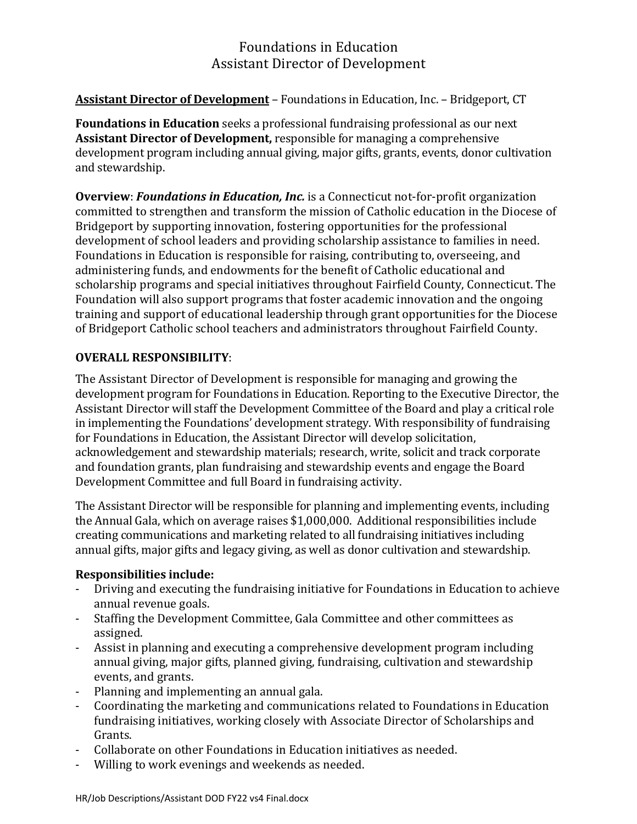## Foundations in Education Assistant Director of Development

## **Assistant Director of Development** – Foundations in Education, Inc. – Bridgeport, CT

**Foundations in Education** seeks a professional fundraising professional as our next **Assistant Director of Development, responsible for managing a comprehensive** development program including annual giving, major gifts, grants, events, donor cultivation and stewardship.

**Overview: Foundations in Education, Inc.** is a Connecticut not-for-profit organization committed to strengthen and transform the mission of Catholic education in the Diocese of Bridgeport by supporting innovation, fostering opportunities for the professional development of school leaders and providing scholarship assistance to families in need. Foundations in Education is responsible for raising, contributing to, overseeing, and administering funds, and endowments for the benefit of Catholic educational and scholarship programs and special initiatives throughout Fairfield County, Connecticut. The Foundation will also support programs that foster academic innovation and the ongoing training and support of educational leadership through grant opportunities for the Diocese of Bridgeport Catholic school teachers and administrators throughout Fairfield County.

## **OVERALL RESPONSIBILITY**:

The Assistant Director of Development is responsible for managing and growing the development program for Foundations in Education. Reporting to the Executive Director, the Assistant Director will staff the Development Committee of the Board and play a critical role in implementing the Foundations' development strategy. With responsibility of fundraising for Foundations in Education, the Assistant Director will develop solicitation, acknowledgement and stewardship materials; research, write, solicit and track corporate and foundation grants, plan fundraising and stewardship events and engage the Board Development Committee and full Board in fundraising activity.

The Assistant Director will be responsible for planning and implementing events, including the Annual Gala, which on average raises \$1,000,000. Additional responsibilities include creating communications and marketing related to all fundraising initiatives including annual gifts, major gifts and legacy giving, as well as donor cultivation and stewardship.

## **Responsibilities include:**

- Driving and executing the fundraising initiative for Foundations in Education to achieve annual revenue goals.
- Staffing the Development Committee, Gala Committee and other committees as assigned.
- Assist in planning and executing a comprehensive development program including annual giving, major gifts, planned giving, fundraising, cultivation and stewardship events, and grants.
- Planning and implementing an annual gala.
- Coordinating the marketing and communications related to Foundations in Education fundraising initiatives, working closely with Associate Director of Scholarships and Grants.
- Collaborate on other Foundations in Education initiatives as needed.
- Willing to work evenings and weekends as needed.